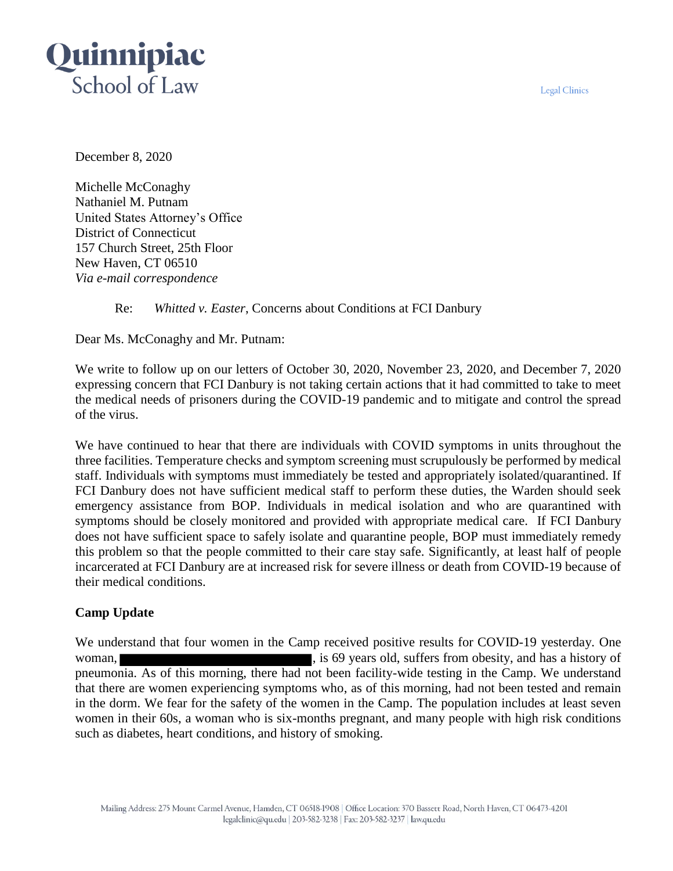**Legal Clinics** 



December 8, 2020

Michelle McConaghy Nathaniel M. Putnam United States Attorney's Office District of Connecticut 157 Church Street, 25th Floor New Haven, CT 06510 *Via e-mail correspondence*

# Re: *Whitted v. Easter*, Concerns about Conditions at FCI Danbury

Dear Ms. McConaghy and Mr. Putnam:

We write to follow up on our letters of October 30, 2020, November 23, 2020, and December 7, 2020 expressing concern that FCI Danbury is not taking certain actions that it had committed to take to meet the medical needs of prisoners during the COVID-19 pandemic and to mitigate and control the spread of the virus.

We have continued to hear that there are individuals with COVID symptoms in units throughout the three facilities. Temperature checks and symptom screening must scrupulously be performed by medical staff. Individuals with symptoms must immediately be tested and appropriately isolated/quarantined. If FCI Danbury does not have sufficient medical staff to perform these duties, the Warden should seek emergency assistance from BOP. Individuals in medical isolation and who are quarantined with symptoms should be closely monitored and provided with appropriate medical care. If FCI Danbury does not have sufficient space to safely isolate and quarantine people, BOP must immediately remedy this problem so that the people committed to their care stay safe. Significantly, at least half of people incarcerated at FCI Danbury are at increased risk for severe illness or death from COVID-19 because of their medical conditions.

## **Camp Update**

We understand that four women in the Camp received positive results for COVID-19 yesterday. One woman, solid, suffers from obesity, and has a history of pneumonia. As of this morning, there had not been facility-wide testing in the Camp. We understand that there are women experiencing symptoms who, as of this morning, had not been tested and remain in the dorm. We fear for the safety of the women in the Camp. The population includes at least seven women in their 60s, a woman who is six-months pregnant, and many people with high risk conditions such as diabetes, heart conditions, and history of smoking.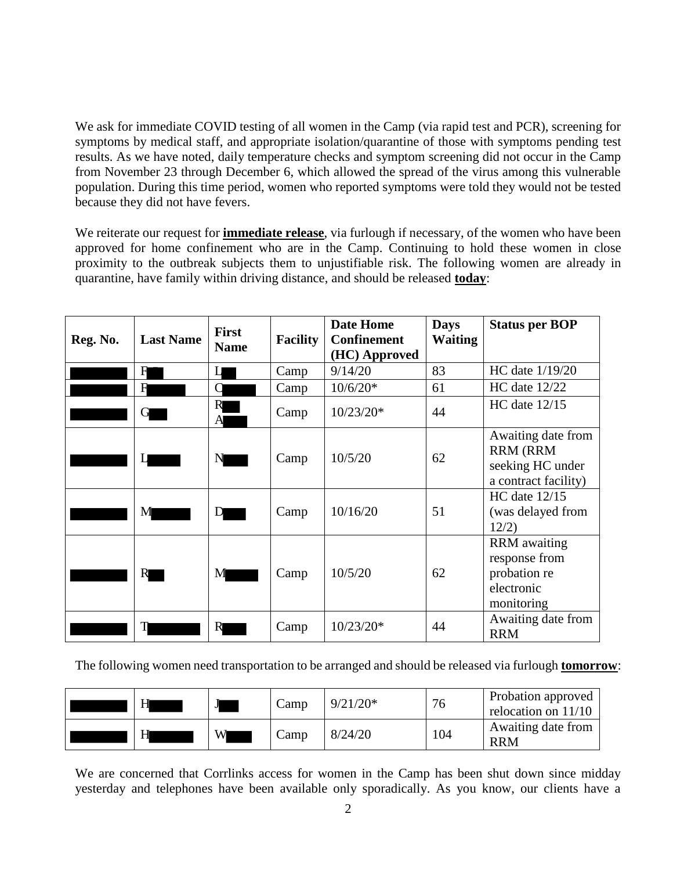We ask for immediate COVID testing of all women in the Camp (via rapid test and PCR), screening for symptoms by medical staff, and appropriate isolation/quarantine of those with symptoms pending test results. As we have noted, daily temperature checks and symptom screening did not occur in the Camp from November 23 through December 6, which allowed the spread of the virus among this vulnerable population. During this time period, women who reported symptoms were told they would not be tested because they did not have fevers.

We reiterate our request for **immediate release**, via furlough if necessary, of the women who have been approved for home confinement who are in the Camp. Continuing to hold these women in close proximity to the outbreak subjects them to unjustifiable risk. The following women are already in quarantine, have family within driving distance, and should be released **today**:

| Reg. No. | <b>Last Name</b> | <b>First</b><br><b>Name</b> | <b>Facility</b> | <b>Date Home</b><br><b>Confinement</b><br>(HC) Approved | <b>Days</b><br><b>Waiting</b> | <b>Status per BOP</b>                                                             |
|----------|------------------|-----------------------------|-----------------|---------------------------------------------------------|-------------------------------|-----------------------------------------------------------------------------------|
|          | F                | П                           | Camp            | 9/14/20                                                 | 83                            | HC date 1/19/20                                                                   |
|          | H                | Ċ                           | Camp            | $10/6/20*$                                              | 61                            | HC date 12/22                                                                     |
|          |                  | R<br>A                      | Camp            | $10/23/20*$                                             | 44                            | $HC$ date $12/15$                                                                 |
|          |                  | N                           | Camp            | 10/5/20                                                 | 62                            | Awaiting date from<br><b>RRM (RRM</b><br>seeking HC under<br>a contract facility) |
|          | M                | D                           | Camp            | 10/16/20                                                | 51                            | $HC$ date $12/15$<br>(was delayed from<br>12/2)                                   |
|          | R                | M                           | Camp            | 10/5/20                                                 | 62                            | <b>RRM</b> awaiting<br>response from<br>probation re<br>electronic<br>monitoring  |
|          |                  | R                           | Camp            | $10/23/20*$                                             | 44                            | Awaiting date from<br><b>RRM</b>                                                  |

The following women need transportation to be arranged and should be released via furlough **tomorrow**:

| Н | J | Camp | $9/21/20*$ | 76  | Probation approved<br>relocation on $11/10$ |
|---|---|------|------------|-----|---------------------------------------------|
| Н | W | Camp | 8/24/20    | 104 | Awaiting date from<br><b>RRM</b>            |

We are concerned that Corrlinks access for women in the Camp has been shut down since midday yesterday and telephones have been available only sporadically. As you know, our clients have a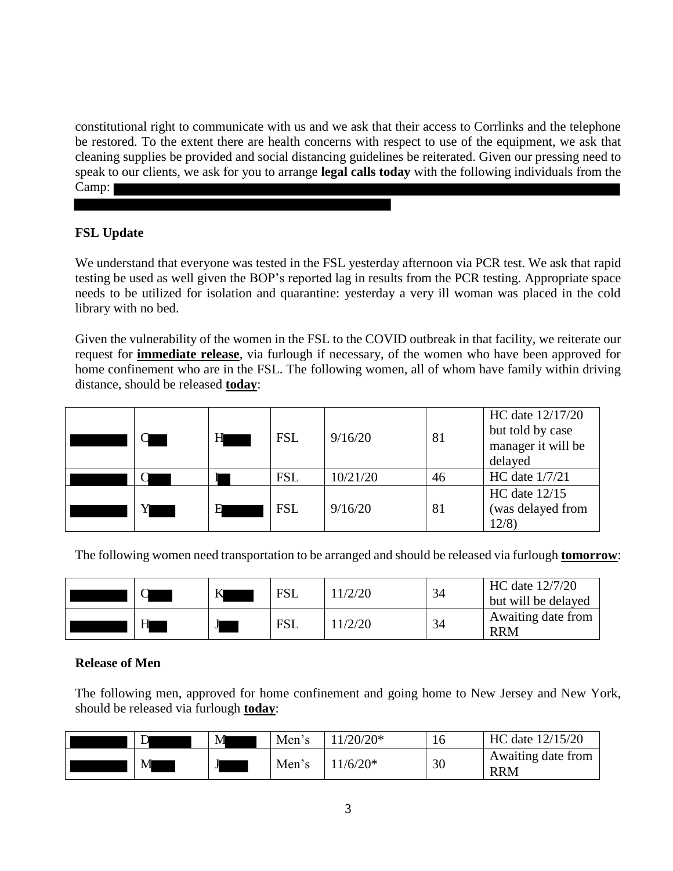constitutional right to communicate with us and we ask that their access to Corrlinks and the telephone be restored. To the extent there are health concerns with respect to use of the equipment, we ask that cleaning supplies be provided and social distancing guidelines be reiterated. Given our pressing need to speak to our clients, we ask for you to arrange **legal calls today** with the following individuals from the Camp:

### **FSL Update**

We understand that everyone was tested in the FSL yesterday afternoon via PCR test. We ask that rapid testing be used as well given the BOP's reported lag in results from the PCR testing. Appropriate space needs to be utilized for isolation and quarantine: yesterday a very ill woman was placed in the cold library with no bed.

Given the vulnerability of the women in the FSL to the COVID outbreak in that facility, we reiterate our request for **immediate release**, via furlough if necessary, of the women who have been approved for home confinement who are in the FSL. The following women, all of whom have family within driving distance, should be released **today**:

|  | н | <b>FSL</b> | 9/16/20  | 81 | HC date 12/17/20<br>but told by case<br>manager it will be<br>delayed |
|--|---|------------|----------|----|-----------------------------------------------------------------------|
|  |   | <b>FSL</b> | 10/21/20 | 46 | HC date 1/7/21                                                        |
|  | н | <b>FSL</b> | 9/16/20  | 81 | HC date $12/15$<br>(was delayed from<br>12/8                          |

The following women need transportation to be arranged and should be released via furlough **tomorrow**:

|   | ĸ | <b>FSL</b> | 1/2/20 | 34 | HC date 12/7/20<br>but will be delayed |
|---|---|------------|--------|----|----------------------------------------|
| H | J | <b>FSL</b> | 1/2/20 | 34 | Awaiting date from<br><b>RRM</b>       |

#### **Release of Men**

The following men, approved for home confinement and going home to New Jersey and New York, should be released via furlough **today**:

| D | M | Men's | $11/20/20*$ | 16 | HC date 12/15/20                 |
|---|---|-------|-------------|----|----------------------------------|
| M |   | Men's | $1/6/20*$   | 30 | Awaiting date from<br><b>RRM</b> |